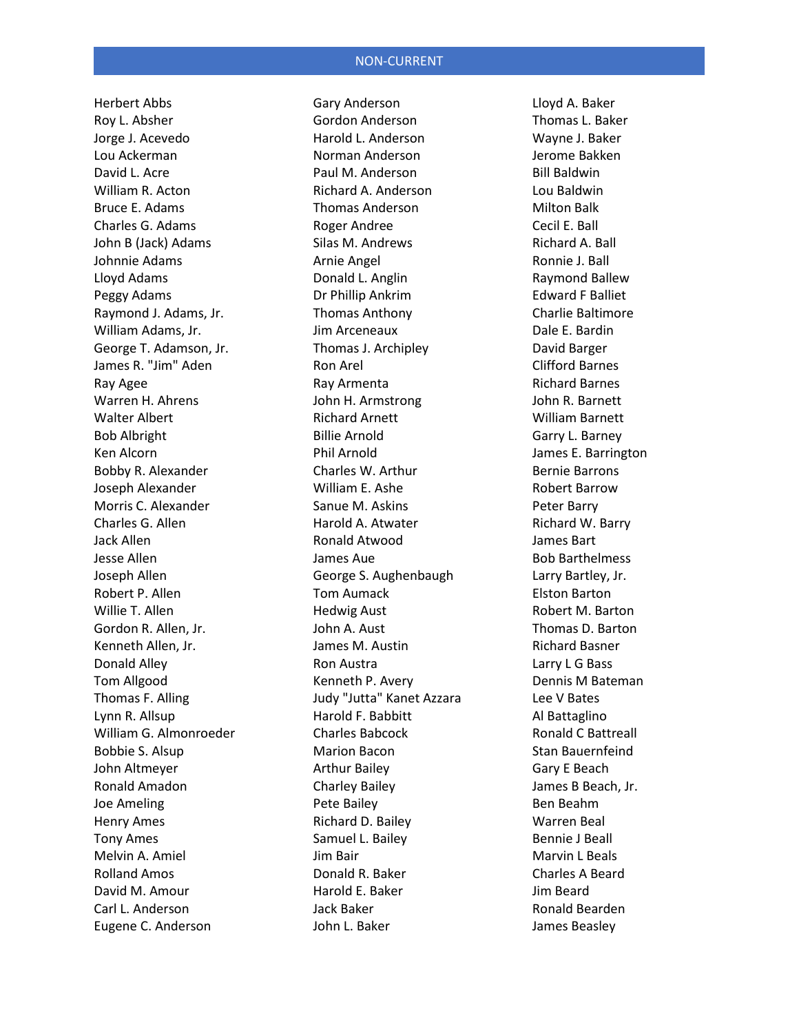Herbert Abbs Roy L. Absher Jorge J. Acevedo Lou Ackerman David L. Acre William R. Acton Bruce E. Adams Charles G. Adams John B (Jack) Adams Johnnie Adams Lloyd Adams Peggy Adams Raymond J. Adams, Jr. William Adams, Jr. George T. Adamson, Jr. James R. "Jim" Aden Ray Agee Warren H. Ahrens Walter Albert Bob Albright Ken Alcorn Bobby R. Alexander Joseph Alexander Morris C. Alexander Charles G. Allen Jack Allen Jesse Allen Joseph Allen Robert P. Allen Willie T. Allen Gordon R. Allen, Jr. Kenneth Allen, Jr. Donald Alley Tom Allgood Thomas F. Alling Lynn R. Allsup William G. Almonroeder Bobbie S. Alsup John Altmeyer Ronald Amadon Joe Ameling Henry Ames Tony Ames Melvin A. Amiel Rolland Amos David M. Amour Carl L. Anderson Eugene C. Anderson

Gary Anderson Gordon Anderson Harold L. Anderson Norman Anderson Paul M. Anderson Richard A. Anderson Thomas Anderson Roger Andree Silas M. Andrews Arnie Angel Donald L. Anglin Dr Phillip Ankrim Thomas Anthony Jim Arceneaux Thomas J. Archipley Ron Arel Ray Armenta John H. Armstrong Richard Arnett Billie Arnold Phil Arnold Charles W. Arthur William E. Ashe Sanue M. Askins Harold A. Atwater Ronald Atwood James Aue George S. Aughenbaugh Tom Aumack Hedwig Aust John A. Aust James M. Austin Ron Austra Kenneth P. Avery Judy "Jutta" Kanet Azzara Harold F. Babbitt Charles Babcock Marion Bacon Arthur Bailey Charley Bailey Pete Bailey Richard D. Bailey Samuel L. Bailey Jim Bair Donald R. Baker Harold E. Baker Jack Baker John L. Baker

Lloyd A. Baker Thomas L. Baker Wayne J. Baker Jerome Bakken Bill Baldwin Lou Baldwin Milton Balk Cecil E. Ball Richard A. Ball Ronnie J. Ball Raymond Ballew Edward F Balliet Charlie Baltimore Dale E. Bardin David Barger Clifford Barnes Richard Barnes John R. Barnett William Barnett Garry L. Barney James E. Barrington Bernie Barrons Robert Barrow Peter Barry Richard W. Barry James Bart Bob Barthelmess Larry Bartley, Jr. Elston Barton Robert M. Barton Thomas D. Barton Richard Basner Larry L G Bass Dennis M Bateman Lee V Bates Al Battaglino Ronald C Battreall Stan Bauernfeind Gary E Beach James B Beach, Jr. Ben Beahm Warren Beal Bennie J Beall Marvin L Beals Charles A Beard Jim Beard Ronald Bearden James Beasley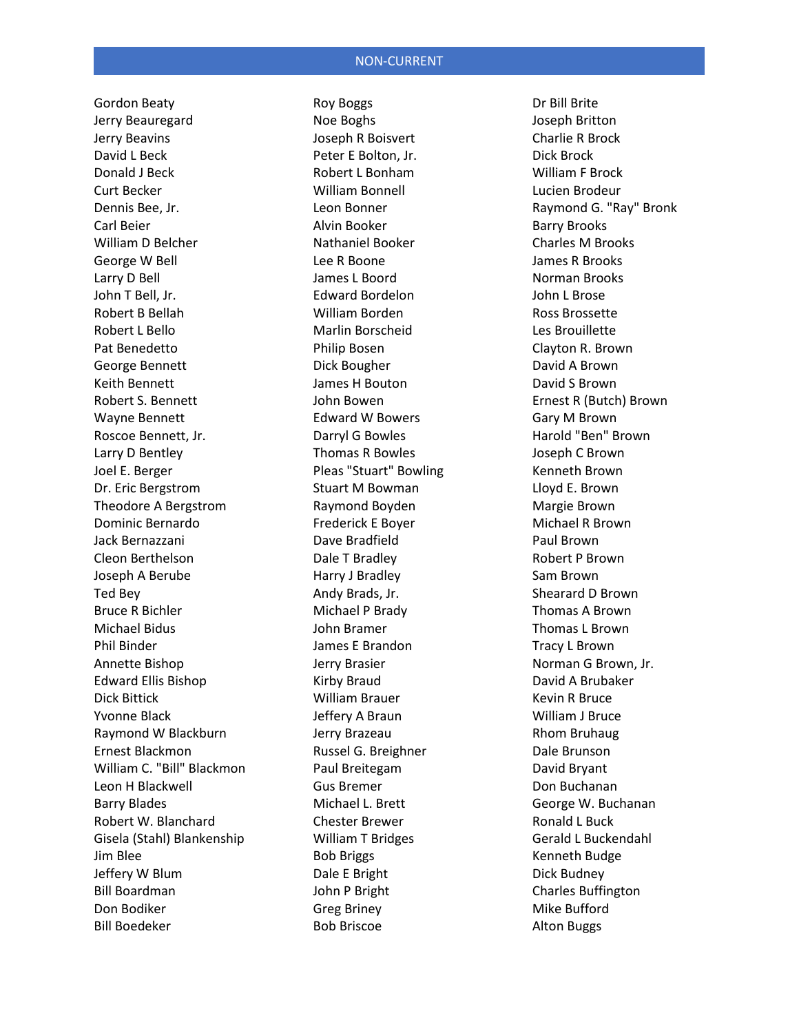Gordon Beaty Jerry Beauregard Jerry Beavins David L Beck Donald J Beck Curt Becker Dennis Bee, Jr. Carl Beier William D Belcher George W Bell Larry D Bell John T Bell, Jr. Robert B Bellah Robert L Bello Pat Benedetto George Bennett Keith Bennett Robert S. Bennett Wayne Bennett Roscoe Bennett, Jr. Larry D Bentley Joel E. Berger Dr. Eric Bergstrom Theodore A Bergstrom Dominic Bernardo Jack Bernazzani Cleon Berthelson Joseph A Berube Ted Bey Bruce R Bichler Michael Bidus Phil Binder Annette Bishop Edward Ellis Bishop Dick Bittick Yvonne Black Raymond W Blackburn Ernest Blackmon William C. "Bill" Blackmon Leon H Blackwell Barry Blades Robert W. Blanchard Gisela (Stahl) Blankenship Jim Blee Jeffery W Blum Bill Boardman Don Bodiker Bill Boedeker

Roy Boggs Noe Boghs Joseph R Boisvert Peter E Bolton, Jr. Robert L Bonham William Bonnell Leon Bonner Alvin Booker Nathaniel Booker Lee R Boone James L Boord Edward Bordelon William Borden Marlin Borscheid Philip Bosen Dick Bougher James H Bouton John Bowen Edward W Bowers Darryl G Bowles Thomas R Bowles Pleas "Stuart" Bowling Stuart M Bowman Raymond Boyden Frederick E Boyer Dave Bradfield Dale T Bradley Harry J Bradley Andy Brads, Jr. Michael P Brady John Bramer James E Brandon Jerry Brasier Kirby Braud William Brauer Jeffery A Braun Jerry Brazeau Russel G. Breighner Paul Breitegam Gus Bremer Michael L. Brett Chester Brewer William T Bridges Bob Briggs Dale E Bright John P Bright Greg Briney Bob Briscoe

Dr Bill Brite Joseph Britton Charlie R Brock Dick Brock William F Brock Lucien Brodeur Raymond G. "Ray" Bronk Barry Brooks Charles M Brooks James R Brooks Norman Brooks John L Brose Ross Brossette Les Brouillette Clayton R. Brown David A Brown David S Brown Ernest R (Butch) Brown Gary M Brown Harold "Ben" Brown Joseph C Brown Kenneth Brown Lloyd E. Brown Margie Brown Michael R Brown Paul Brown Robert P Brown Sam Brown Shearard D Brown Thomas A Brown Thomas L Brown Tracy L Brown Norman G Brown, Jr. David A Brubaker Kevin R Bruce William J Bruce Rhom Bruhaug Dale Brunson David Bryant Don Buchanan George W. Buchanan Ronald L Buck Gerald L Buckendahl Kenneth Budge Dick Budney Charles Buffington Mike Bufford Alton Buggs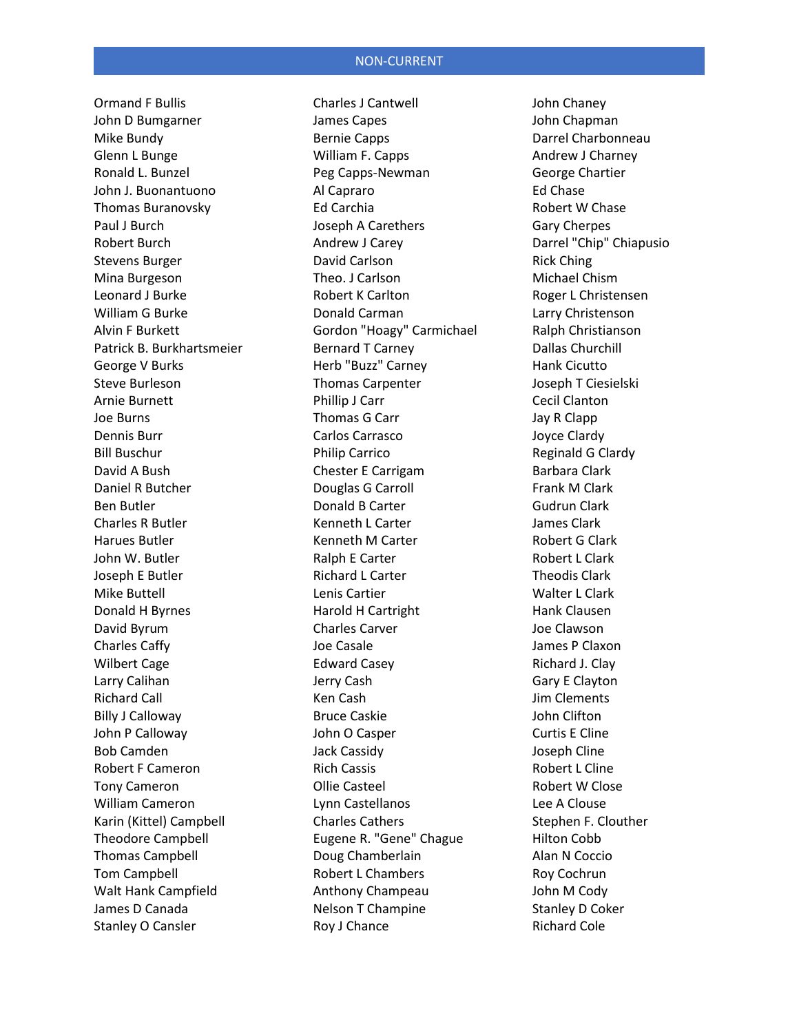Ormand F Bullis John D Bumgarner Mike Bundy Glenn L Bunge Ronald L. Bunzel John J. Buonantuono Thomas Buranovsky Paul J Burch Robert Burch Stevens Burger Mina Burgeson Leonard J Burke William G Burke Alvin F Burkett Patrick B. Burkhartsmeier George V Burks Steve Burleson Arnie Burnett Joe Burns Dennis Burr Bill Buschur David A Bush Daniel R Butcher Ben Butler Charles R Butler Harues Butler John W. Butler Joseph E Butler Mike Buttell Donald H Byrnes David Byrum Charles Caffy Wilbert Cage Larry Calihan Richard Call Billy J Calloway John P Calloway Bob Camden Robert F Cameron Tony Cameron William Cameron Karin (Kittel) Campbell Theodore Campbell Thomas Campbell Tom Campbell Walt Hank Campfield James D Canada Stanley O Cansler

Charles J Cantwell James Capes Bernie Capps William F. Capps Peg Capps-Newman Al Capraro Ed Carchia Joseph A Carethers Andrew J Carey David Carlson Theo. J Carlson Robert K Carlton Donald Carman Gordon "Hoagy" Carmichael Bernard T Carney Herb "Buzz" Carney Thomas Carpenter Phillip J Carr Thomas G Carr Carlos Carrasco Philip Carrico Chester E Carrigam Douglas G Carroll Donald B Carter Kenneth L Carter Kenneth M Carter Ralph E Carter Richard L Carter Lenis Cartier Harold H Cartright Charles Carver Joe Casale Edward Casey Jerry Cash Ken Cash Bruce Caskie John O Casper Jack Cassidy Rich Cassis Ollie Casteel Lynn Castellanos Charles Cathers Eugene R. "Gene" Chague Doug Chamberlain Robert L Chambers Anthony Champeau Nelson T Champine Roy J Chance

John Chaney John Chapman Darrel Charbonneau Andrew J Charney George Chartier Ed Chase Robert W Chase Gary Cherpes Darrel "Chip" Chiapusio Rick Ching Michael Chism Roger L Christensen Larry Christenson Ralph Christianson Dallas Churchill Hank Cicutto Joseph T Ciesielski Cecil Clanton Jay R Clapp Joyce Clardy Reginald G Clardy Barbara Clark Frank M Clark Gudrun Clark James Clark Robert G Clark Robert L Clark Theodis Clark Walter L Clark Hank Clausen Joe Clawson James P Claxon Richard J. Clay Gary E Clayton Jim Clements John Clifton Curtis E Cline Joseph Cline Robert L Cline Robert W Close Lee A Clouse Stephen F. Clouther Hilton Cobb Alan N Coccio Roy Cochrun John M Cody Stanley D Coker Richard Cole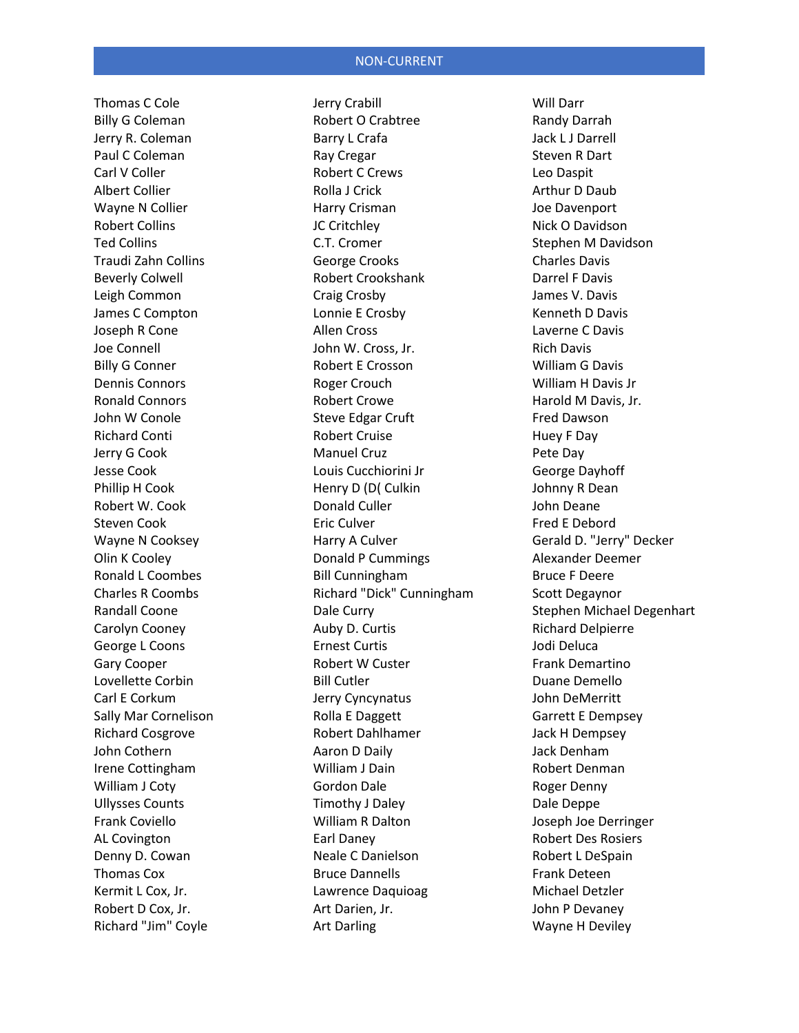Thomas C Cole Billy G Coleman Jerry R. Coleman Paul C Coleman Carl V Coller Albert Collier Wayne N Collier Robert Collins Ted Collins Traudi Zahn Collins Beverly Colwell Leigh Common James C Compton Joseph R Cone Joe Connell Billy G Conner Dennis Connors Ronald Connors John W Conole Richard Conti Jerry G Cook Jesse Cook Phillip H Cook Robert W. Cook Steven Cook Wayne N Cooksey Olin K Cooley Ronald L Coombes Charles R Coombs Randall Coone Carolyn Cooney George L Coons Gary Cooper Lovellette Corbin Carl E Corkum Sally Mar Cornelison Richard Cosgrove John Cothern Irene Cottingham William J Coty Ullysses Counts Frank Coviello AL Covington Denny D. Cowan Thomas Cox Kermit L Cox, Jr. Robert D Cox, Jr. Richard "Jim" Coyle

Jerry Crabill Robert O Crabtree Barry L Crafa Ray Cregar Robert C Crews Rolla J Crick Harry Crisman JC Critchley C.T. Cromer George Crooks Robert Crookshank Craig Crosby Lonnie E Crosby Allen Cross John W. Cross, Jr. Robert E Crosson Roger Crouch Robert Crowe Steve Edgar Cruft Robert Cruise Manuel Cruz Louis Cucchiorini Jr Henry D (D( Culkin Donald Culler Eric Culver Harry A Culver Donald P Cummings Bill Cunningham Richard "Dick" Cunningham Dale Curry Auby D. Curtis Ernest Curtis Robert W Custer Bill Cutler Jerry Cyncynatus Rolla E Daggett Robert Dahlhamer Aaron D Daily William J Dain Gordon Dale Timothy J Daley William R Dalton Earl Daney Neale C Danielson Bruce Dannells Lawrence Daquioag Art Darien, Jr. Art Darling

Will Darr Randy Darrah Jack L J Darrell Steven R Dart Leo Daspit Arthur D Daub Joe Davenport Nick O Davidson Stephen M Davidson Charles Davis Darrel F Davis James V. Davis Kenneth D Davis Laverne C Davis Rich Davis William G Davis William H Davis Jr Harold M Davis, Jr. Fred Dawson Huey F Day Pete Day George Dayhoff Johnny R Dean John Deane Fred E Debord Gerald D. "Jerry" Decker Alexander Deemer Bruce F Deere Scott Degaynor Stephen Michael Degenhart Richard Delpierre Jodi Deluca Frank Demartino Duane Demello John DeMerritt Garrett E Dempsey Jack H Dempsey Jack Denham Robert Denman Roger Denny Dale Deppe Joseph Joe Derringer Robert Des Rosiers Robert L DeSpain Frank Deteen Michael Detzler John P Devaney Wayne H Deviley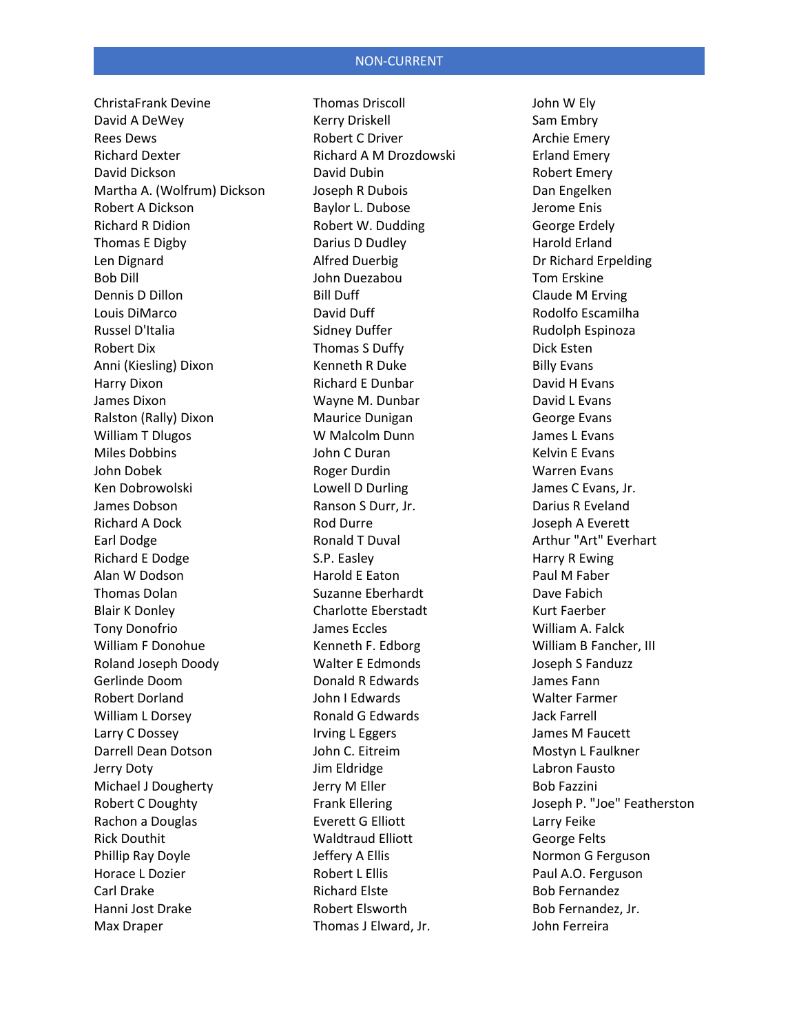ChristaFrank Devine David A DeWey Rees Dews Richard Dexter David Dickson Martha A. (Wolfrum) Dickson Robert A Dickson Richard R Didion Thomas E Digby Len Dignard Bob Dill Dennis D Dillon Louis DiMarco Russel D'Italia Robert Dix Anni (Kiesling) Dixon Harry Dixon James Dixon Ralston (Rally) Dixon William T Dlugos Miles Dobbins John Dobek Ken Dobrowolski James Dobson Richard A Dock Earl Dodge Richard E Dodge Alan W Dodson Thomas Dolan Blair K Donley Tony Donofrio William F Donohue Roland Joseph Doody Gerlinde Doom Robert Dorland William L Dorsey Larry C Dossey Darrell Dean Dotson Jerry Doty Michael J Dougherty Robert C Doughty Rachon a Douglas Rick Douthit Phillip Ray Doyle Horace L Dozier Carl Drake Hanni Jost Drake Max Draper

Thomas Driscoll Kerry Driskell Robert C Driver Richard A M Drozdowski David Dubin Joseph R Dubois Baylor L. Dubose Robert W. Dudding Darius D Dudley Alfred Duerbig John Duezabou Bill Duff David Duff Sidney Duffer Thomas S Duffy Kenneth R Duke Richard E Dunbar Wayne M. Dunbar Maurice Dunigan W Malcolm Dunn John C Duran Roger Durdin Lowell D Durling Ranson S Durr, Jr. Rod Durre Ronald T Duval S.P. Easley Harold E Eaton Suzanne Eberhardt Charlotte Eberstadt James Eccles Kenneth F. Edborg Walter E Edmonds Donald R Edwards John I Edwards Ronald G Edwards Irving L Eggers John C. Eitreim Jim Eldridge Jerry M Eller Frank Ellering Everett G Elliott Waldtraud Elliott Jeffery A Ellis Robert L Ellis Richard Elste Robert Elsworth Thomas J Elward, Jr.

John W Ely Sam Embry Archie Emery Erland Emery Robert Emery Dan Engelken Jerome Enis George Erdely Harold Erland Dr Richard Erpelding Tom Erskine Claude M Erving Rodolfo Escamilha Rudolph Espinoza Dick Esten Billy Evans David H Evans David L Evans George Evans James L Evans Kelvin E Evans Warren Evans James C Evans, Jr. Darius R Eveland Joseph A Everett Arthur "Art" Everhart Harry R Ewing Paul M Faber Dave Fabich Kurt Faerber William A. Falck William B Fancher, III Joseph S Fanduzz James Fann Walter Farmer Jack Farrell James M Faucett Mostyn L Faulkner Labron Fausto Bob Fazzini Joseph P. "Joe" Featherston Larry Feike George Felts Normon G Ferguson Paul A.O. Ferguson Bob Fernandez Bob Fernandez, Jr. John Ferreira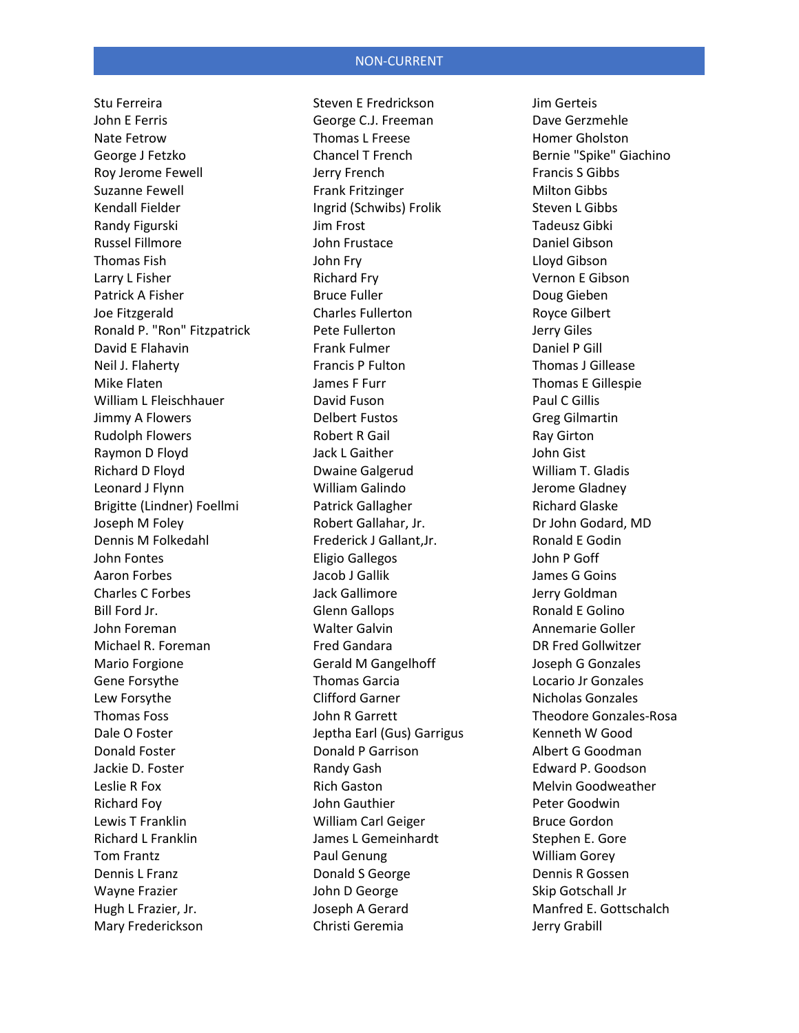Stu Ferreira John E Ferris Nate Fetrow George J Fetzko Roy Jerome Fewell Suzanne Fewell Kendall Fielder Randy Figurski Russel Fillmore Thomas Fish Larry L Fisher Patrick A Fisher Joe Fitzgerald Ronald P. "Ron" Fitzpatrick David E Flahavin Neil J. Flaherty Mike Flaten William L Fleischhauer Jimmy A Flowers Rudolph Flowers Raymon D Floyd Richard D Floyd Leonard J Flynn Brigitte (Lindner) Foellmi Joseph M Foley Dennis M Folkedahl John Fontes Aaron Forbes Charles C Forbes Bill Ford Jr. John Foreman Michael R. Foreman Mario Forgione Gene Forsythe Lew Forsythe Thomas Foss Dale O Foster Donald Foster Jackie D. Foster Leslie R Fox Richard Foy Lewis T Franklin Richard L Franklin Tom Frantz Dennis L Franz Wayne Frazier Hugh L Frazier, Jr. Mary Frederickson

Steven E Fredrickson George C.J. Freeman Thomas L Freese Chancel T French Jerry French Frank Fritzinger Ingrid (Schwibs) Frolik Jim Frost John Frustace John Fry Richard Fry Bruce Fuller Charles Fullerton Pete Fullerton Frank Fulmer Francis P Fulton James F Furr David Fuson Delbert Fustos Robert R Gail Jack L Gaither Dwaine Galgerud William Galindo Patrick Gallagher Robert Gallahar, Jr. Frederick J Gallant,Jr. Eligio Gallegos Jacob J Gallik Jack Gallimore Glenn Gallops Walter Galvin Fred Gandara Gerald M Gangelhoff Thomas Garcia Clifford Garner John R Garrett Jeptha Earl (Gus) Garrigus Donald P Garrison Randy Gash Rich Gaston John Gauthier William Carl Geiger James L Gemeinhardt Paul Genung Donald S George John D George Joseph A Gerard Christi Geremia

Jim Gerteis Dave Gerzmehle Homer Gholston Bernie "Spike" Giachino Francis S Gibbs Milton Gibbs Steven L Gibbs Tadeusz Gibki Daniel Gibson Lloyd Gibson Vernon E Gibson Doug Gieben Royce Gilbert Jerry Giles Daniel P Gill Thomas J Gillease Thomas E Gillespie Paul C Gillis Greg Gilmartin Ray Girton John Gist William T. Gladis Jerome Gladney Richard Glaske Dr John Godard, MD Ronald E Godin John P Goff James G Goins Jerry Goldman Ronald E Golino Annemarie Goller DR Fred Gollwitzer Joseph G Gonzales Locario Jr Gonzales Nicholas Gonzales Theodore Gonzales-Rosa Kenneth W Good Albert G Goodman Edward P. Goodson Melvin Goodweather Peter Goodwin Bruce Gordon Stephen E. Gore William Gorey Dennis R Gossen Skip Gotschall Jr Manfred E. Gottschalch Jerry Grabill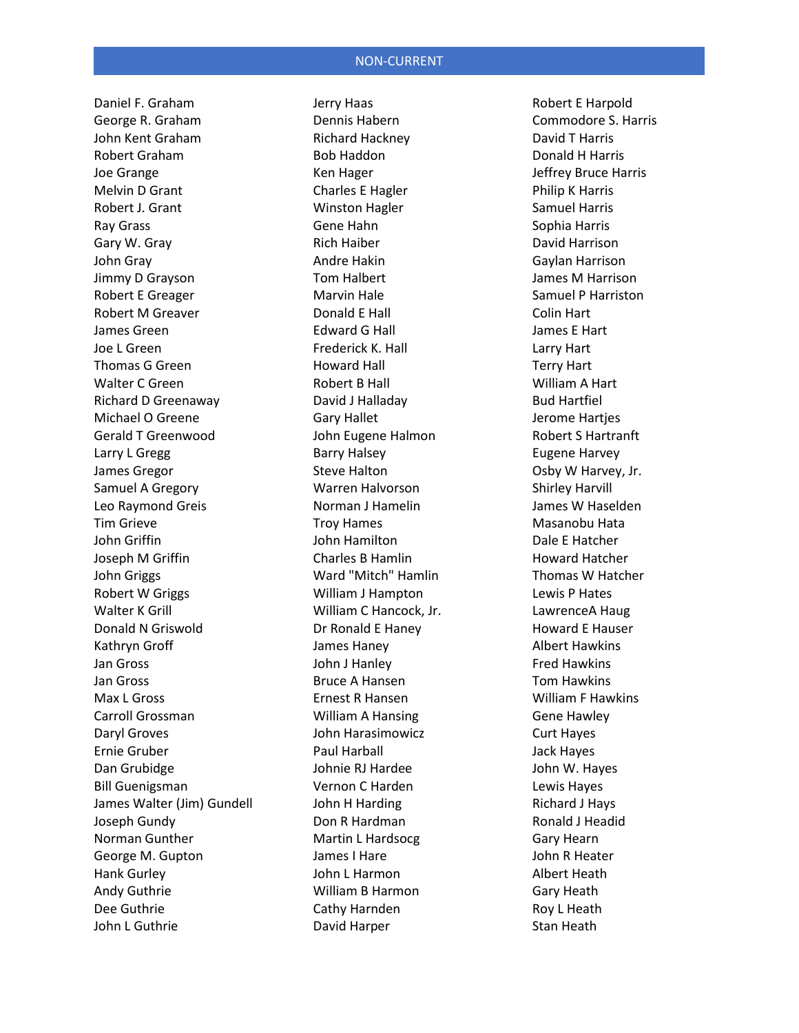Daniel F. Graham George R. Graham John Kent Graham Robert Graham Joe Grange Melvin D Grant Robert J. Grant Ray Grass Gary W. Gray John Gray Jimmy D Grayson Robert E Greager Robert M Greaver James Green Joe L Green Thomas G Green Walter C Green Richard D Greenaway Michael O Greene Gerald T Greenwood Larry L Gregg James Gregor Samuel A Gregory Leo Raymond Greis Tim Grieve John Griffin Joseph M Griffin John Griggs Robert W Griggs Walter K Grill Donald N Griswold Kathryn Groff Jan Gross Jan Gross Max L Gross Carroll Grossman Daryl Groves Ernie Gruber Dan Grubidge Bill Guenigsman James Walter (Jim) Gundell Joseph Gundy Norman Gunther George M. Gupton Hank Gurley Andy Guthrie Dee Guthrie John L Guthrie

Jerry Haas Dennis Habern Richard Hackney Bob Haddon Ken Hager Charles E Hagler Winston Hagler Gene Hahn Rich Haiber Andre Hakin Tom Halbert Marvin Hale Donald E Hall Edward G Hall Frederick K. Hall Howard Hall Robert B Hall David J Halladay Gary Hallet John Eugene Halmon Barry Halsey Steve Halton Warren Halvorson Norman J Hamelin Troy Hames John Hamilton Charles B Hamlin Ward "Mitch" Hamlin William J Hampton William C Hancock, Jr. Dr Ronald E Haney James Haney John J Hanley Bruce A Hansen Ernest R Hansen William A Hansing John Harasimowicz Paul Harball Johnie RJ Hardee Vernon C Harden John H Harding Don R Hardman Martin L Hardsocg James I Hare John L Harmon William B Harmon Cathy Harnden David Harper

Robert E Harpold Commodore S. Harris David T Harris Donald H Harris Jeffrey Bruce Harris Philip K Harris Samuel Harris Sophia Harris David Harrison Gaylan Harrison James M Harrison Samuel P Harriston Colin Hart James E Hart Larry Hart Terry Hart William A Hart Bud Hartfiel Jerome Hartjes Robert S Hartranft Eugene Harvey Osby W Harvey, Jr. Shirley Harvill James W Haselden Masanobu Hata Dale E Hatcher Howard Hatcher Thomas W Hatcher Lewis P Hates LawrenceA Haug Howard E Hauser Albert Hawkins Fred Hawkins Tom Hawkins William F Hawkins Gene Hawley Curt Hayes Jack Hayes John W. Hayes Lewis Hayes Richard J Hays Ronald J Headid Gary Hearn John R Heater Albert Heath Gary Heath Roy L Heath Stan Heath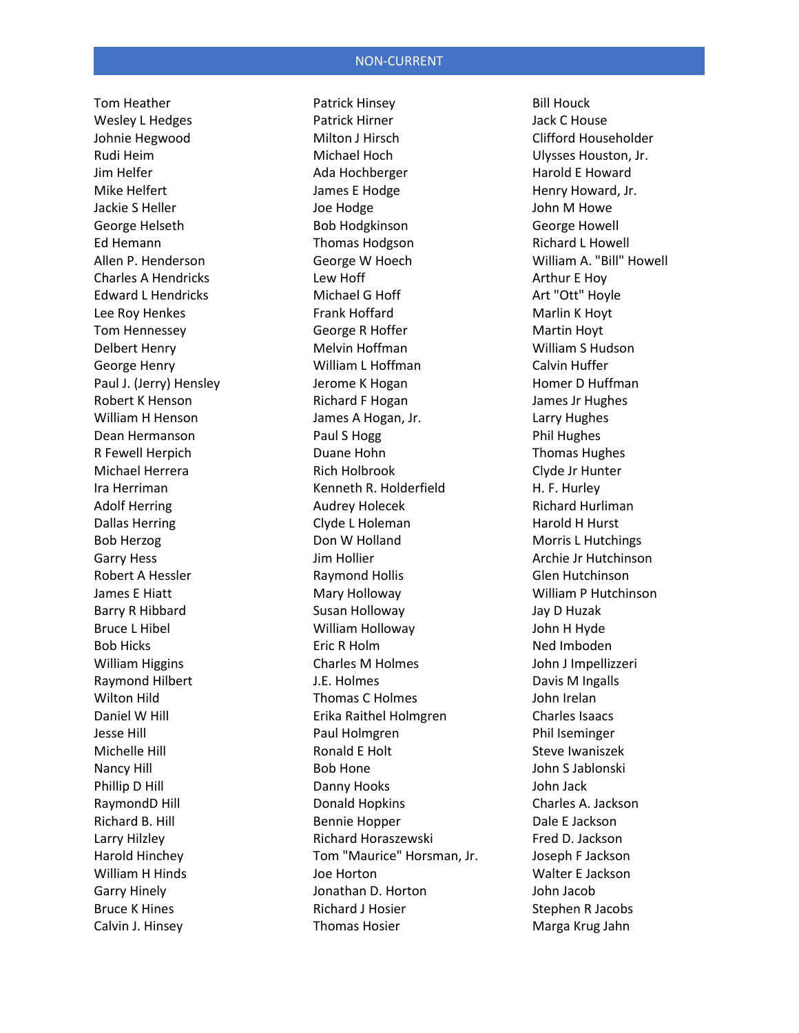Tom Heather Wesley L Hedges Johnie Hegwood Rudi Heim Jim Helfer Mike Helfert Jackie S Heller George Helseth Ed Hemann Allen P. Henderson Charles A Hendricks Edward L Hendricks Lee Roy Henkes Tom Hennessey Delbert Henry George Henry Paul J. (Jerry) Hensley Robert K Henson William H Henson Dean Hermanson R Fewell Herpich Michael Herrera Ira Herriman Adolf Herring Dallas Herring Bob Herzog Garry Hess Robert A Hessler James E Hiatt Barry R Hibbard Bruce L Hibel Bob Hicks William Higgins Raymond Hilbert Wilton Hild Daniel W Hill Jesse Hill Michelle Hill Nancy Hill Phillip D Hill RaymondD Hill Richard B. Hill Larry Hilzley Harold Hinchey William H Hinds Garry Hinely Bruce K Hines Calvin J. Hinsey

Patrick Hinsey Patrick Hirner Milton J Hirsch Michael Hoch Ada Hochberger James E Hodge Joe Hodge Bob Hodgkinson Thomas Hodgson George W Hoech Lew Hoff Michael G Hoff Frank Hoffard George R Hoffer Melvin Hoffman William L Hoffman Jerome K Hogan Richard F Hogan James A Hogan, Jr. Paul S Hogg Duane Hohn Rich Holbrook Kenneth R. Holderfield Audrey Holecek Clyde L Holeman Don W Holland Jim Hollier Raymond Hollis Mary Holloway Susan Holloway William Holloway Eric R Holm Charles M Holmes J.E. Holmes Thomas C Holmes Erika Raithel Holmgren Paul Holmgren Ronald E Holt Bob Hone Danny Hooks Donald Hopkins Bennie Hopper Richard Horaszewski Tom "Maurice" Horsman, Jr. Joe Horton Jonathan D. Horton Richard J Hosier Thomas Hosier

Bill Houck Jack C House Clifford Householder Ulysses Houston, Jr. Harold E Howard Henry Howard, Jr. John M Howe George Howell Richard L Howell William A. "Bill" Howell Arthur E Hoy Art "Ott" Hoyle Marlin K Hoyt Martin Hoyt William S Hudson Calvin Huffer Homer D Huffman James Jr Hughes Larry Hughes Phil Hughes Thomas Hughes Clyde Jr Hunter H. F. Hurley Richard Hurliman Harold H Hurst Morris L Hutchings Archie Jr Hutchinson Glen Hutchinson William P Hutchinson Jay D Huzak John H Hyde Ned Imboden John J Impellizzeri Davis M Ingalls John Irelan Charles Isaacs Phil Iseminger Steve Iwaniszek John S Jablonski John Jack Charles A. Jackson Dale E Jackson Fred D. Jackson Joseph F Jackson Walter E Jackson John Jacob Stephen R Jacobs Marga Krug Jahn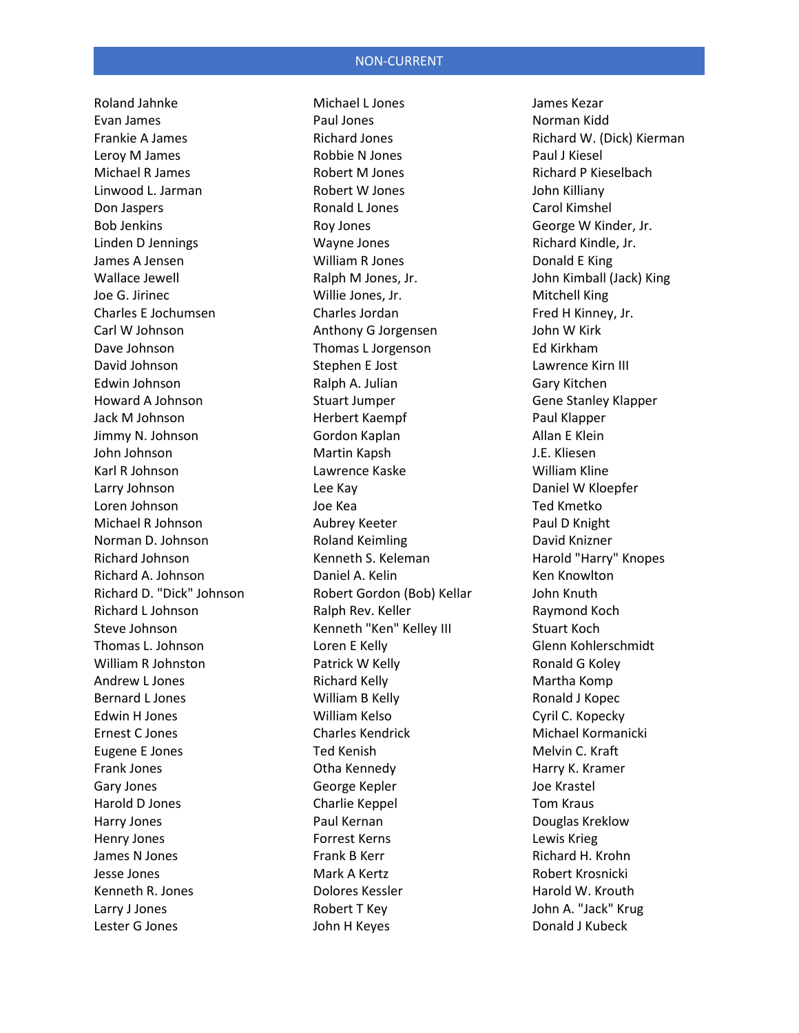Roland Jahnke Evan James Frankie A James Leroy M James Michael R James Linwood L. Jarman Don Jaspers Bob Jenkins Linden D Jennings James A Jensen Wallace Jewell Joe G. Jirinec Charles E Jochumsen Carl W Johnson Dave Johnson David Johnson Edwin Johnson Howard A Johnson Jack M Johnson Jimmy N. Johnson John Johnson Karl R Johnson Larry Johnson Loren Johnson Michael R Johnson Norman D. Johnson Richard Johnson Richard A. Johnson Richard D. "Dick" Johnson Richard L Johnson Steve Johnson Thomas L. Johnson William R Johnston Andrew L Jones Bernard L Jones Edwin H Jones Ernest C Jones Eugene E Jones Frank Jones Gary Jones Harold D Jones Harry Jones Henry Jones James N Jones Jesse Jones Kenneth R. Jones Larry J Jones Lester G Jones

Michael L Jones Paul Jones Richard Jones Robbie N Jones Robert M Jones Robert W Jones Ronald L Jones Roy Jones Wayne Jones William R Jones Ralph M Jones, Jr. Willie Jones, Jr. Charles Jordan Anthony G Jorgensen Thomas L Jorgenson Stephen E Jost Ralph A. Julian Stuart Jumper Herbert Kaempf Gordon Kaplan Martin Kapsh Lawrence Kaske Lee Kay Joe Kea Aubrey Keeter Roland Keimling Kenneth S. Keleman Daniel A. Kelin Robert Gordon (Bob) Kellar Ralph Rev. Keller Kenneth "Ken" Kelley III Loren E Kelly Patrick W Kelly Richard Kelly William B Kelly William Kelso Charles Kendrick Ted Kenish Otha Kennedy George Kepler Charlie Keppel Paul Kernan Forrest Kerns Frank B Kerr Mark A Kertz Dolores Kessler Robert T Key John H Keyes

James Kezar Norman Kidd Richard W. (Dick) Kierman Paul J Kiesel Richard P Kieselbach John Killiany Carol Kimshel George W Kinder, Jr. Richard Kindle, Jr. Donald E King John Kimball (Jack) King Mitchell King Fred H Kinney, Jr. John W Kirk Ed Kirkham Lawrence Kirn III Gary Kitchen Gene Stanley Klapper Paul Klapper Allan E Klein J.E. Kliesen William Kline Daniel W Kloepfer Ted Kmetko Paul D Knight David Knizner Harold "Harry" Knopes Ken Knowlton John Knuth Raymond Koch Stuart Koch Glenn Kohlerschmidt Ronald G Koley Martha Komp Ronald J Kopec Cyril C. Kopecky Michael Kormanicki Melvin C. Kraft Harry K. Kramer Joe Krastel Tom Kraus Douglas Kreklow Lewis Krieg Richard H. Krohn Robert Krosnicki Harold W. Krouth John A. "Jack" Krug Donald J Kubeck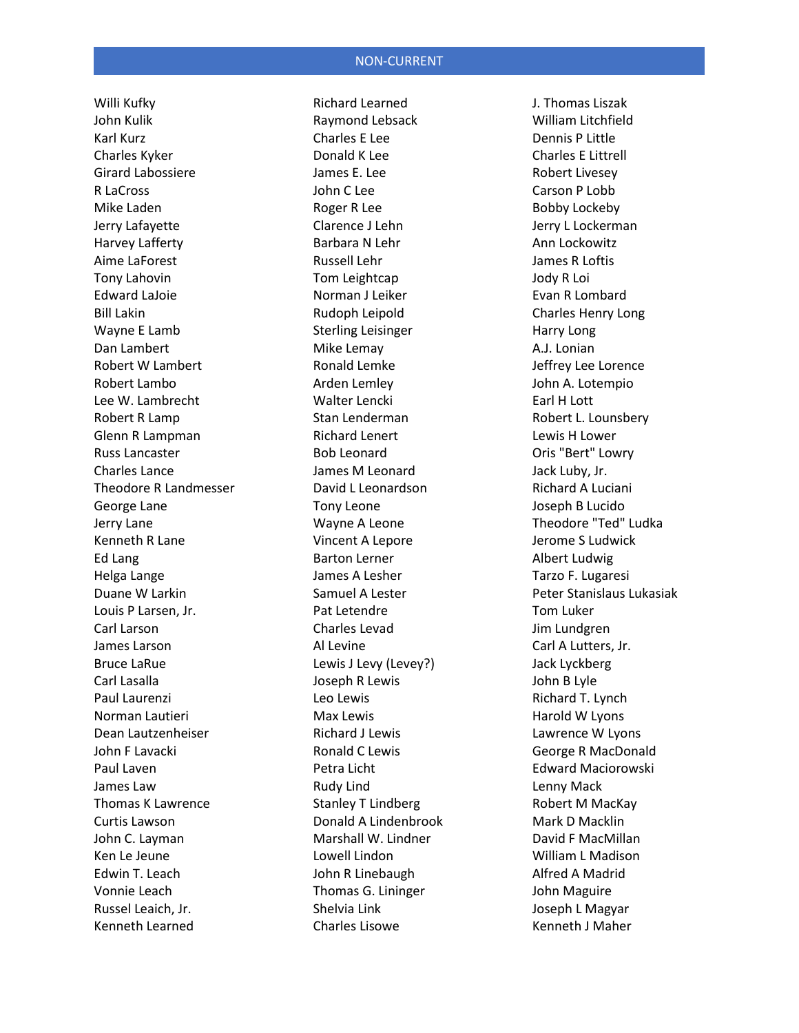Willi Kufky John Kulik Karl Kurz Charles Kyker Girard Labossiere R LaCross Mike Laden Jerry Lafayette Harvey Lafferty Aime LaForest Tony Lahovin Edward LaJoie Bill Lakin Wayne E Lamb Dan Lambert Robert W Lambert Robert Lambo Lee W. Lambrecht Robert R Lamp Glenn R Lampman Russ Lancaster Charles Lance Theodore R Landmesser George Lane Jerry Lane Kenneth R Lane Ed Lang Helga Lange Duane W Larkin Louis P Larsen, Jr. Carl Larson James Larson Bruce LaRue Carl Lasalla Paul Laurenzi Norman Lautieri Dean Lautzenheiser John F Lavacki Paul Laven James Law Thomas K Lawrence Curtis Lawson John C. Layman Ken Le Jeune Edwin T. Leach Vonnie Leach Russel Leaich, Jr. Kenneth Learned

Richard Learned Raymond Lebsack Charles E Lee Donald K Lee James E. Lee John C Lee Roger R Lee Clarence J Lehn Barbara N Lehr Russell Lehr Tom Leightcap Norman J Leiker Rudoph Leipold Sterling Leisinger Mike Lemay Ronald Lemke Arden Lemley Walter Lencki Stan Lenderman Richard Lenert Bob Leonard James M Leonard David L Leonardson Tony Leone Wayne A Leone Vincent A Lepore Barton Lerner James A Lesher Samuel A Lester Pat Letendre Charles Levad Al Levine Lewis J Levy (Levey?) Joseph R Lewis Leo Lewis Max Lewis Richard J Lewis Ronald C Lewis Petra Licht Rudy Lind Stanley T Lindberg Donald A Lindenbrook Marshall W. Lindner Lowell Lindon John R Linebaugh Thomas G. Lininger Shelvia Link Charles Lisowe

J. Thomas Liszak William Litchfield Dennis P Little Charles E Littrell Robert Livesey Carson P Lobb Bobby Lockeby Jerry L Lockerman Ann Lockowitz James R Loftis Jody R Loi Evan R Lombard Charles Henry Long Harry Long A.J. Lonian Jeffrey Lee Lorence John A. Lotempio Earl H Lott Robert L. Lounsbery Lewis H Lower Oris "Bert" Lowry Jack Luby, Jr. Richard A Luciani Joseph B Lucido Theodore "Ted" Ludka Jerome S Ludwick Albert Ludwig Tarzo F. Lugaresi Peter Stanislaus Lukasiak Tom Luker Jim Lundgren Carl A Lutters, Jr. Jack Lyckberg John B Lyle Richard T. Lynch Harold W Lyons Lawrence W Lyons George R MacDonald Edward Maciorowski Lenny Mack Robert M MacKay Mark D Macklin David F MacMillan William L Madison Alfred A Madrid John Maguire Joseph L Magyar Kenneth J Maher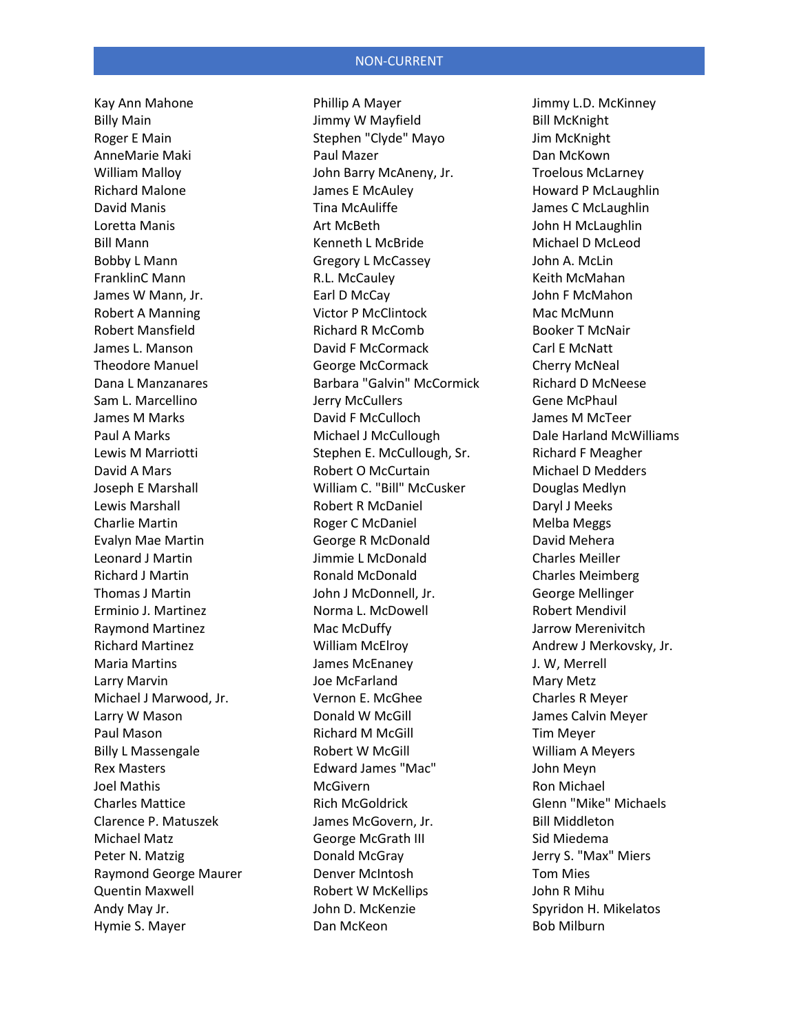Kay Ann Mahone Billy Main Roger E Main AnneMarie Maki William Malloy Richard Malone David Manis Loretta Manis Bill Mann Bobby L Mann FranklinC Mann James W Mann, Jr. Robert A Manning Robert Mansfield James L. Manson Theodore Manuel Dana L Manzanares Sam L. Marcellino James M Marks Paul A Marks Lewis M Marriotti David A Mars Joseph E Marshall Lewis Marshall Charlie Martin Evalyn Mae Martin Leonard J Martin Richard J Martin Thomas J Martin Erminio J. Martinez Raymond Martinez Richard Martinez Maria Martins Larry Marvin Michael J Marwood, Jr. Larry W Mason Paul Mason Billy L Massengale Rex Masters Joel Mathis Charles Mattice Clarence P. Matuszek Michael Matz Peter N. Matzig Raymond George Maurer Quentin Maxwell Andy May Jr. Hymie S. Mayer

Phillip A Mayer Jimmy W Mayfield Stephen "Clyde" Mayo Paul Mazer John Barry McAneny, Jr. James E McAuley Tina McAuliffe Art McBeth Kenneth L McBride Gregory L McCassey R.L. McCauley Earl D McCay Victor P McClintock Richard R McComb David F McCormack George McCormack Barbara "Galvin" McCormick Jerry McCullers David F McCulloch Michael J McCullough Stephen E. McCullough, Sr. Robert O McCurtain William C. "Bill" McCusker Robert R McDaniel Roger C McDaniel George R McDonald Jimmie L McDonald Ronald McDonald John J McDonnell, Jr. Norma L. McDowell Mac McDuffy William McElroy James McEnaney Joe McFarland Vernon E. McGhee Donald W McGill Richard M McGill Robert W McGill Edward James "Mac" **McGivern** Rich McGoldrick James McGovern, Jr. George McGrath III Donald McGray Denver McIntosh Robert W McKellips John D. McKenzie Dan McKeon

Jimmy L.D. McKinney Bill McKnight Jim McKnight Dan McKown Troelous McLarney Howard P McLaughlin James C McLaughlin John H McLaughlin Michael D McLeod John A. McLin Keith McMahan John F McMahon Mac McMunn Booker T McNair Carl E McNatt Cherry McNeal Richard D McNeese Gene McPhaul James M McTeer Dale Harland McWilliams Richard F Meagher Michael D Medders Douglas Medlyn Daryl J Meeks Melba Meggs David Mehera Charles Meiller Charles Meimberg George Mellinger Robert Mendivil Jarrow Merenivitch Andrew J Merkovsky, Jr. J. W, Merrell Mary Metz Charles R Meyer James Calvin Meyer Tim Meyer William A Meyers John Meyn Ron Michael Glenn "Mike" Michaels Bill Middleton Sid Miedema Jerry S. "Max" Miers Tom Mies John R Mihu Spyridon H. Mikelatos Bob Milburn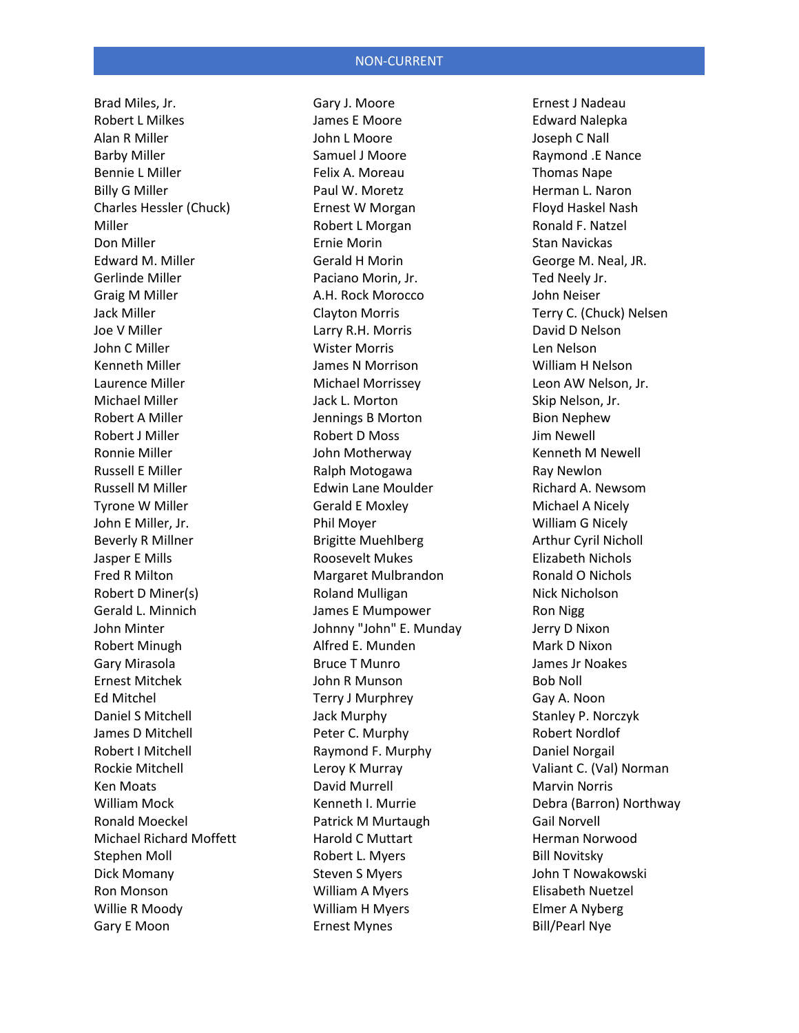Brad Miles, Jr. Robert L Milkes Alan R Miller Barby Miller Bennie L Miller Billy G Miller Charles Hessler (Chuck) Miller Don Miller Edward M. Miller Gerlinde Miller Graig M Miller Jack Miller Joe V Miller John C Miller Kenneth Miller Laurence Miller Michael Miller Robert A Miller Robert J Miller Ronnie Miller Russell E Miller Russell M Miller Tyrone W Miller John E Miller, Jr. Beverly R Millner Jasper E Mills Fred R Milton Robert D Miner(s) Gerald L. Minnich John Minter Robert Minugh Gary Mirasola Ernest Mitchek Ed Mitchel Daniel S Mitchell James D Mitchell Robert I Mitchell Rockie Mitchell Ken Moats William Mock Ronald Moeckel Michael Richard Moffett Stephen Moll Dick Momany Ron Monson Willie R Moody Gary E Moon

Gary J. Moore James E Moore John L Moore Samuel J Moore Felix A. Moreau Paul W. Moretz Ernest W Morgan Robert L Morgan Ernie Morin Gerald H Morin Paciano Morin, Jr. A.H. Rock Morocco Clayton Morris Larry R.H. Morris Wister Morris James N Morrison Michael Morrissey Jack L. Morton Jennings B Morton Robert D Moss John Motherway Ralph Motogawa Edwin Lane Moulder Gerald E Moxley Phil Moyer Brigitte Muehlberg Roosevelt Mukes Margaret Mulbrandon Roland Mulligan James E Mumpower Johnny "John" E. Munday Alfred E. Munden Bruce T Munro John R Munson Terry J Murphrey Jack Murphy Peter C. Murphy Raymond F. Murphy Leroy K Murray David Murrell Kenneth I. Murrie Patrick M Murtaugh Harold C Muttart Robert L. Myers Steven S Myers William A Myers William H Myers Ernest Mynes

Ernest J Nadeau Edward Nalepka Joseph C Nall Raymond .E Nance Thomas Nape Herman L. Naron Floyd Haskel Nash Ronald F. Natzel Stan Navickas George M. Neal, JR. Ted Neely Jr. John Neiser Terry C. (Chuck) Nelsen David D Nelson Len Nelson William H Nelson Leon AW Nelson, Jr. Skip Nelson, Jr. Bion Nephew Jim Newell Kenneth M Newell Ray Newlon Richard A. Newsom Michael A Nicely William G Nicely Arthur Cyril Nicholl Elizabeth Nichols Ronald O Nichols Nick Nicholson Ron Nigg Jerry D Nixon Mark D Nixon James Jr Noakes Bob Noll Gay A. Noon Stanley P. Norczyk Robert Nordlof Daniel Norgail Valiant C. (Val) Norman Marvin Norris Debra (Barron) Northway Gail Norvell Herman Norwood Bill Novitsky John T Nowakowski Elisabeth Nuetzel Elmer A Nyberg Bill/Pearl Nye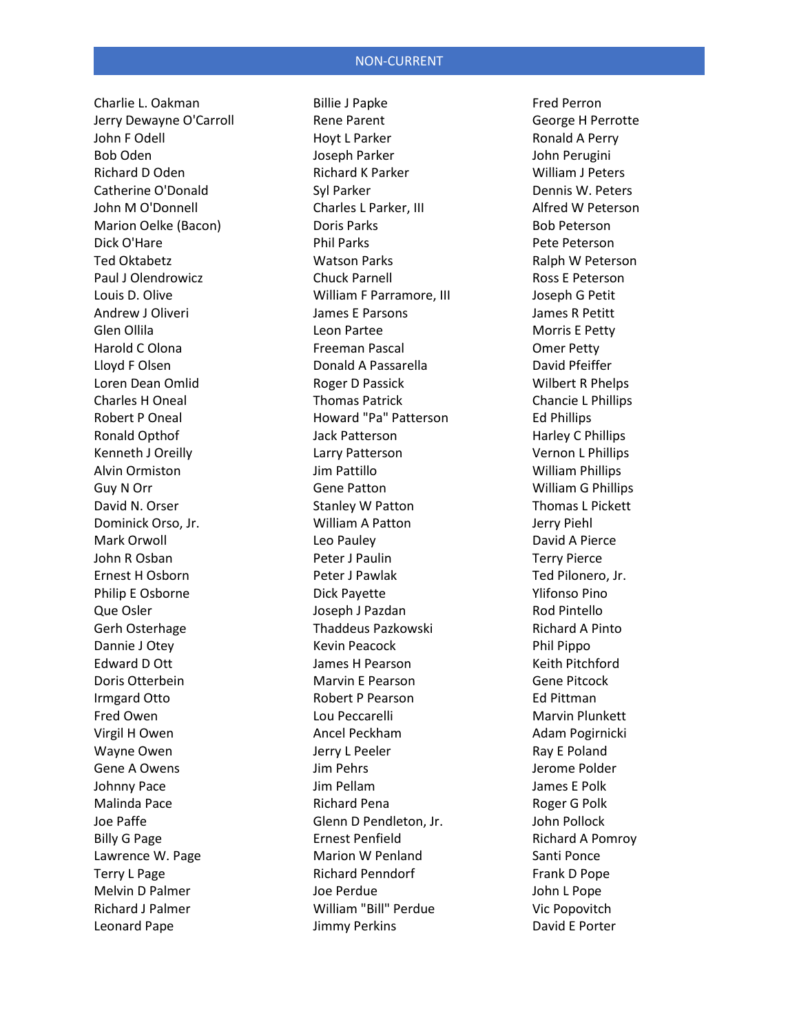Charlie L. Oakman Jerry Dewayne O'Carroll John F Odell Bob Oden Richard D Oden Catherine O'Donald John M O'Donnell Marion Oelke (Bacon) Dick O'Hare Ted Oktabetz Paul J Olendrowicz Louis D. Olive Andrew J Oliveri Glen Ollila Harold C Olona Lloyd F Olsen Loren Dean Omlid Charles H Oneal Robert P Oneal Ronald Opthof Kenneth J Oreilly Alvin Ormiston Guy N Orr David N. Orser Dominick Orso, Jr. Mark Orwoll John R Osban Ernest H Osborn Philip E Osborne Que Osler Gerh Osterhage Dannie J Otey Edward D Ott Doris Otterbein Irmgard Otto Fred Owen Virgil H Owen Wayne Owen Gene A Owens Johnny Pace Malinda Pace Joe Paffe Billy G Page Lawrence W. Page Terry L Page Melvin D Palmer Richard J Palmer Leonard Pape

Billie J Papke Rene Parent Hoyt L Parker Joseph Parker Richard K Parker Syl Parker Charles L Parker, III Doris Parks Phil Parks Watson Parks Chuck Parnell William F Parramore, III James E Parsons Leon Partee Freeman Pascal Donald A Passarella Roger D Passick Thomas Patrick Howard "Pa" Patterson Jack Patterson Larry Patterson Jim Pattillo Gene Patton Stanley W Patton William A Patton Leo Pauley Peter J Paulin Peter J Pawlak Dick Payette Joseph J Pazdan Thaddeus Pazkowski Kevin Peacock James H Pearson Marvin E Pearson Robert P Pearson Lou Peccarelli Ancel Peckham Jerry L Peeler Jim Pehrs Jim Pellam Richard Pena Glenn D Pendleton, Jr. Ernest Penfield Marion W Penland Richard Penndorf Joe Perdue William "Bill" Perdue Jimmy Perkins

Fred Perron George H Perrotte Ronald A Perry John Perugini William J Peters Dennis W. Peters Alfred W Peterson Bob Peterson Pete Peterson Ralph W Peterson Ross E Peterson Joseph G Petit James R Petitt Morris E Petty Omer Petty David Pfeiffer Wilbert R Phelps Chancie L Phillips Ed Phillips Harley C Phillips Vernon L Phillips William Phillips William G Phillips Thomas L Pickett Jerry Piehl David A Pierce Terry Pierce Ted Pilonero, Jr. Ylifonso Pino Rod Pintello Richard A Pinto Phil Pippo Keith Pitchford Gene Pitcock Ed Pittman Marvin Plunkett Adam Pogirnicki Ray E Poland Jerome Polder James E Polk Roger G Polk John Pollock Richard A Pomroy Santi Ponce Frank D Pope John L Pope Vic Popovitch David E Porter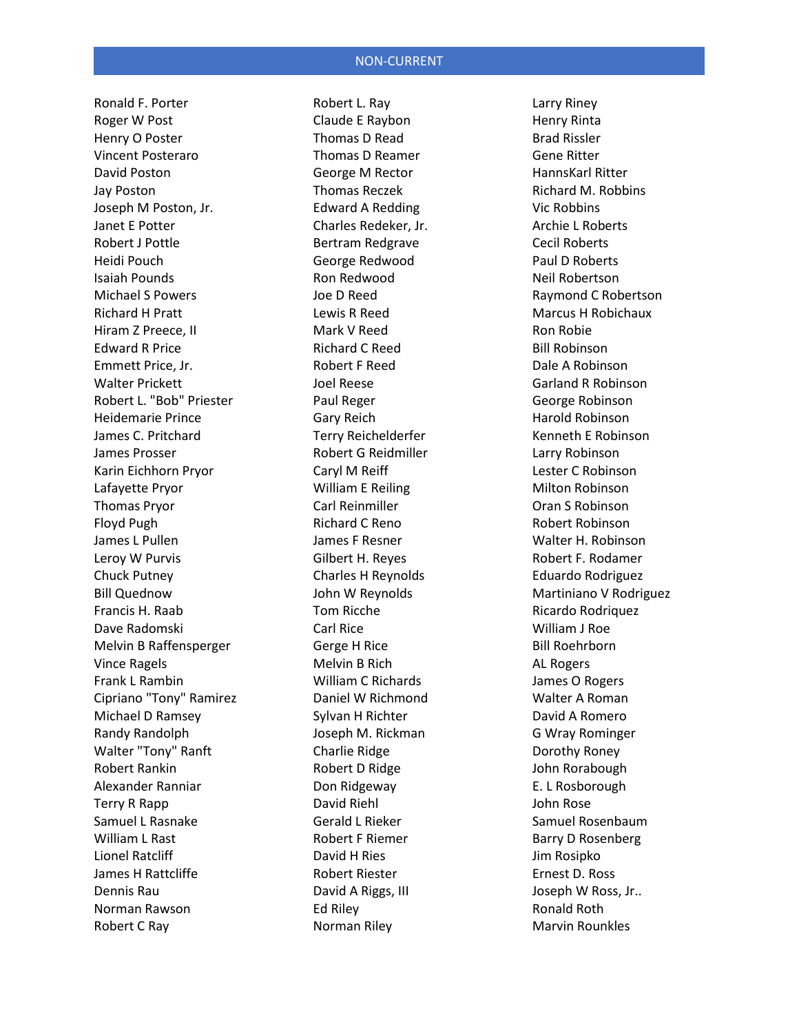Ronald F. Porter Roger W Post Henry O Poster Vincent Posteraro David Poston Jay Poston Joseph M Poston, Jr. Janet E Potter Robert J Pottle Heidi Pouch Isaiah Pounds Michael S Powers Richard H Pratt Hiram Z Preece, II Edward R Price Emmett Price, Jr. Walter Prickett Robert L. "Bob" Priester Heidemarie Prince James C. Pritchard James Prosser Karin Eichhorn Pryor Lafayette Pryor Thomas Pryor Floyd Pugh James L Pullen Leroy W Purvis Chuck Putney Bill Quednow Francis H. Raab Dave Radomski Melvin B Raffensperger Vince Ragels Frank L Rambin Cipriano "Tony" Ramirez Michael D Ramsey Randy Randolph Walter "Tony" Ranft Robert Rankin Alexander Ranniar Terry R Rapp Samuel L Rasnake William L Rast Lionel Ratcliff James H Rattcliffe Dennis Rau Norman Rawson Robert C Ray

Robert L. Ray Claude E Raybon Thomas D Read Thomas D Reamer George M Rector Thomas Reczek Edward A Redding Charles Redeker, Jr. Bertram Redgrave George Redwood Ron Redwood Joe D Reed Lewis R Reed Mark V Reed Richard C Reed Robert F Reed Joel Reese Paul Reger Gary Reich Terry Reichelderfer Robert G Reidmiller Caryl M Reiff William E Reiling Carl Reinmiller Richard C Reno James F Resner Gilbert H. Reyes Charles H Reynolds John W Reynolds Tom Ricche Carl Rice Gerge H Rice Melvin B Rich William C Richards Daniel W Richmond Sylvan H Richter Joseph M. Rickman Charlie Ridge Robert D Ridge Don Ridgeway David Riehl Gerald L Rieker Robert F Riemer David H Ries Robert Riester David A Riggs, III Ed Riley Norman Riley

Larry Riney Henry Rinta Brad Rissler Gene Ritter HannsKarl Ritter Richard M. Robbins Vic Robbins Archie L Roberts Cecil Roberts Paul D Roberts Neil Robertson Raymond C Robertson Marcus H Robichaux Ron Robie Bill Robinson Dale A Robinson Garland R Robinson George Robinson Harold Robinson Kenneth E Robinson Larry Robinson Lester C Robinson Milton Robinson Oran S Robinson Robert Robinson Walter H. Robinson Robert F. Rodamer Eduardo Rodriguez Martiniano V Rodriguez Ricardo Rodriquez William J Roe Bill Roehrborn AL Rogers James O Rogers Walter A Roman David A Romero G Wray Rominger Dorothy Roney John Rorabough E. L Rosborough John Rose Samuel Rosenbaum Barry D Rosenberg Jim Rosipko Ernest D. Ross Joseph W Ross, Jr.. Ronald Roth Marvin Rounkles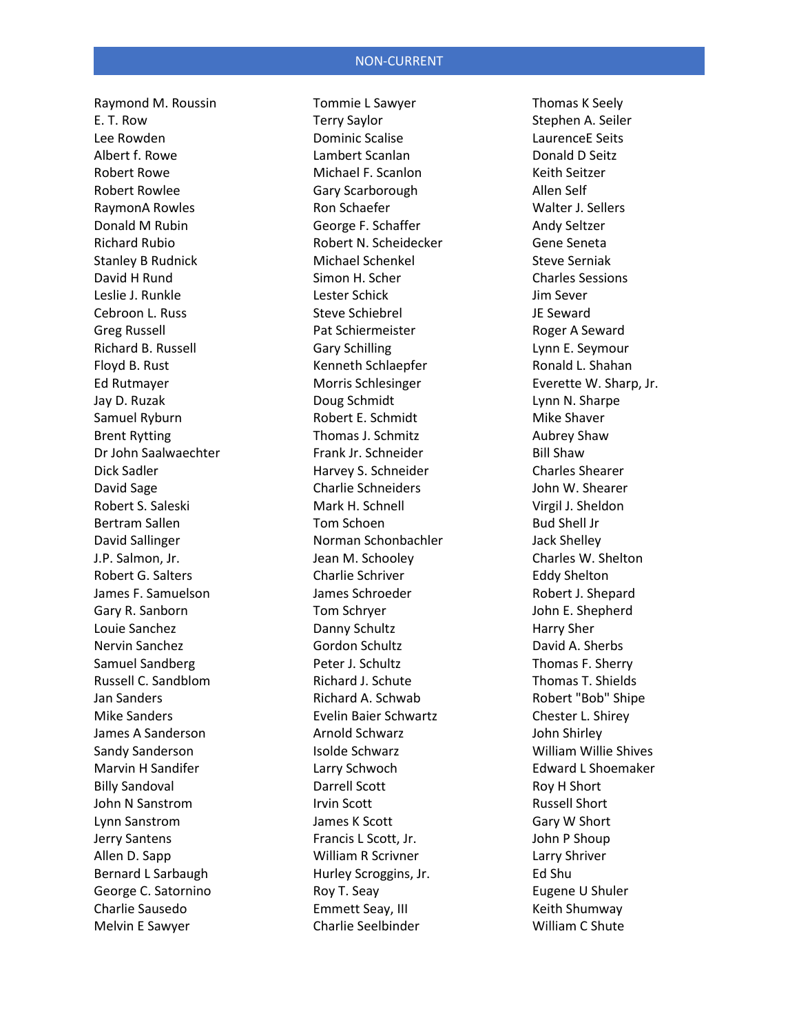Raymond M. Roussin E. T. Row Lee Rowden Albert f. Rowe Robert Rowe Robert Rowlee RaymonA Rowles Donald M Rubin Richard Rubio Stanley B Rudnick David H Rund Leslie J. Runkle Cebroon L. Russ Greg Russell Richard B. Russell Floyd B. Rust Ed Rutmayer Jay D. Ruzak Samuel Ryburn Brent Rytting Dr John Saalwaechter Dick Sadler David Sage Robert S. Saleski Bertram Sallen David Sallinger J.P. Salmon, Jr. Robert G. Salters James F. Samuelson Gary R. Sanborn Louie Sanchez Nervin Sanchez Samuel Sandberg Russell C. Sandblom Jan Sanders Mike Sanders James A Sanderson Sandy Sanderson Marvin H Sandifer Billy Sandoval John N Sanstrom Lynn Sanstrom Jerry Santens Allen D. Sapp Bernard L Sarbaugh George C. Satornino Charlie Sausedo Melvin E Sawyer

Tommie L Sawyer Terry Saylor Dominic Scalise Lambert Scanlan Michael F. Scanlon Gary Scarborough Ron Schaefer George F. Schaffer Robert N. Scheidecker Michael Schenkel Simon H. Scher Lester Schick Steve Schiebrel Pat Schiermeister Gary Schilling Kenneth Schlaepfer Morris Schlesinger Doug Schmidt Robert E. Schmidt Thomas J. Schmitz Frank Jr. Schneider Harvey S. Schneider Charlie Schneiders Mark H. Schnell Tom Schoen Norman Schonbachler Jean M. Schooley Charlie Schriver James Schroeder Tom Schryer Danny Schultz Gordon Schultz Peter J. Schultz Richard J. Schute Richard A. Schwab Evelin Baier Schwartz Arnold Schwarz Isolde Schwarz Larry Schwoch Darrell Scott Irvin Scott James K Scott Francis L Scott, Jr. William R Scrivner Hurley Scroggins, Jr. Roy T. Seay Emmett Seay, III Charlie Seelbinder

Thomas K Seely Stephen A. Seiler LaurenceE Seits Donald D Seitz Keith Seitzer Allen Self Walter J. Sellers Andy Seltzer Gene Seneta Steve Serniak Charles Sessions Jim Sever JE Seward Roger A Seward Lynn E. Seymour Ronald L. Shahan Everette W. Sharp, Jr. Lynn N. Sharpe Mike Shaver Aubrey Shaw Bill Shaw Charles Shearer John W. Shearer Virgil J. Sheldon Bud Shell Jr Jack Shelley Charles W. Shelton Eddy Shelton Robert J. Shepard John E. Shepherd Harry Sher David A. Sherbs Thomas F. Sherry Thomas T. Shields Robert "Bob" Shipe Chester L. Shirey John Shirley William Willie Shives Edward L Shoemaker Roy H Short Russell Short Gary W Short John P Shoup Larry Shriver Ed Shu Eugene U Shuler Keith Shumway William C Shute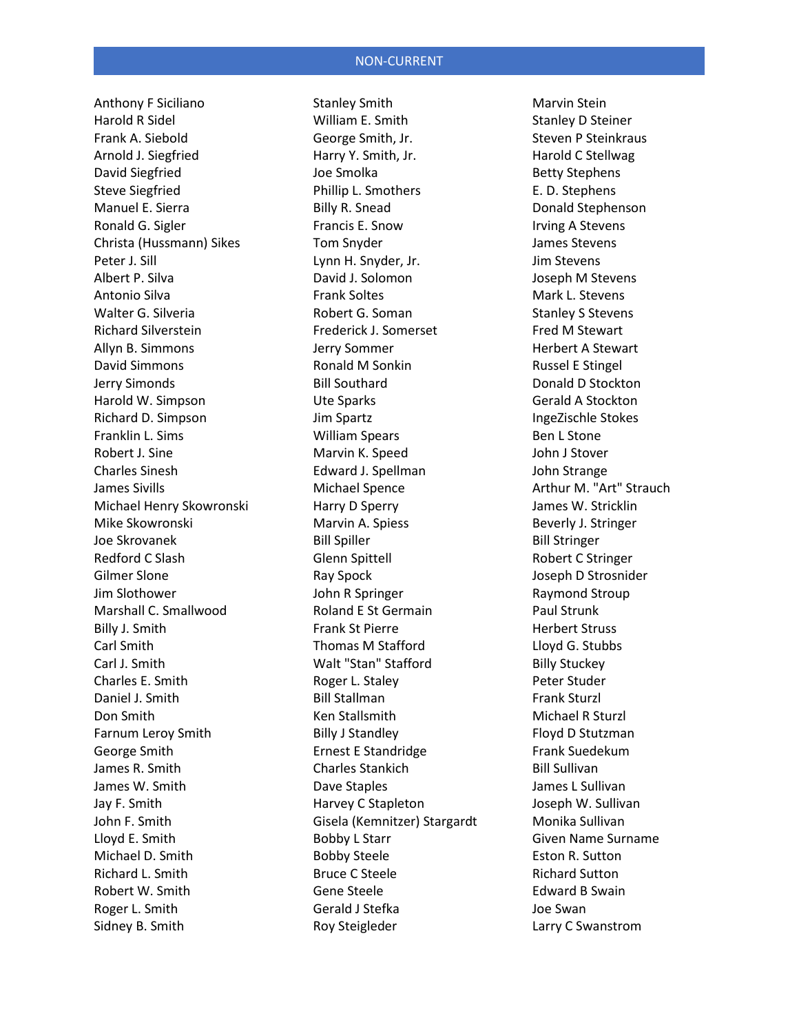Anthony F Siciliano Harold R Sidel Frank A. Siebold Arnold J. Siegfried David Siegfried Steve Siegfried Manuel E. Sierra Ronald G. Sigler Christa (Hussmann) Sikes Peter J. Sill Albert P. Silva Antonio Silva Walter G. Silveria Richard Silverstein Allyn B. Simmons David Simmons Jerry Simonds Harold W. Simpson Richard D. Simpson Franklin L. Sims Robert J. Sine Charles Sinesh James Sivills Michael Henry Skowronski Mike Skowronski Joe Skrovanek Redford C Slash Gilmer Slone Jim Slothower Marshall C. Smallwood Billy J. Smith Carl Smith Carl J. Smith Charles E. Smith Daniel J. Smith Don Smith Farnum Leroy Smith George Smith James R. Smith James W. Smith Jay F. Smith John F. Smith Lloyd E. Smith Michael D. Smith Richard L. Smith Robert W. Smith Roger L. Smith Sidney B. Smith

Stanley Smith William E. Smith George Smith, Jr. Harry Y. Smith, Jr. Joe Smolka Phillip L. Smothers Billy R. Snead Francis E. Snow Tom Snyder Lynn H. Snyder, Jr. David J. Solomon Frank Soltes Robert G. Soman Frederick J. Somerset Jerry Sommer Ronald M Sonkin Bill Southard Ute Sparks Jim Spartz William Spears Marvin K. Speed Edward J. Spellman Michael Spence Harry D Sperry Marvin A. Spiess Bill Spiller Glenn Spittell Ray Spock John R Springer Roland E St Germain Frank St Pierre Thomas M Stafford Walt "Stan" Stafford Roger L. Staley Bill Stallman Ken Stallsmith Billy J Standley Ernest E Standridge Charles Stankich Dave Staples Harvey C Stapleton Gisela (Kemnitzer) Stargardt Bobby L Starr Bobby Steele Bruce C Steele Gene Steele Gerald J Stefka Roy Steigleder

Marvin Stein Stanley D Steiner Steven P Steinkraus Harold C Stellwag Betty Stephens E. D. Stephens Donald Stephenson Irving A Stevens James Stevens Jim Stevens Joseph M Stevens Mark L. Stevens Stanley S Stevens Fred M Stewart Herbert A Stewart Russel E Stingel Donald D Stockton Gerald A Stockton IngeZischle Stokes Ben L Stone John J Stover John Strange Arthur M. "Art" Strauch James W. Stricklin Beverly J. Stringer Bill Stringer Robert C Stringer Joseph D Strosnider Raymond Stroup Paul Strunk Herbert Struss Lloyd G. Stubbs Billy Stuckey Peter Studer Frank Sturzl Michael R Sturzl Floyd D Stutzman Frank Suedekum Bill Sullivan James L Sullivan Joseph W. Sullivan Monika Sullivan Given Name Surname Eston R. Sutton Richard Sutton Edward B Swain Joe Swan Larry C Swanstrom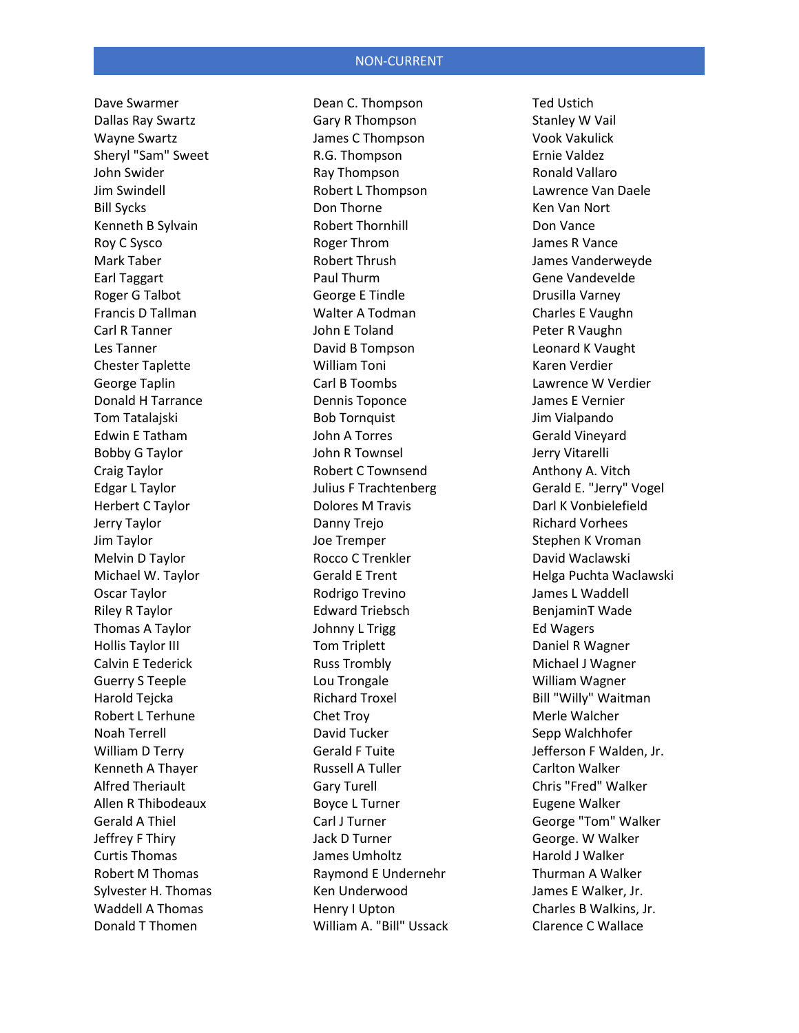Dave Swarmer Dallas Ray Swartz Wayne Swartz Sheryl "Sam" Sweet John Swider Jim Swindell Bill Sycks Kenneth B Sylvain Roy C Sysco Mark Taber Earl Taggart Roger G Talbot Francis D Tallman Carl R Tanner Les Tanner Chester Taplette George Taplin Donald H Tarrance Tom Tatalajski Edwin E Tatham Bobby G Taylor Craig Taylor Edgar L Taylor Herbert C Taylor Jerry Taylor Jim Taylor Melvin D Taylor Michael W. Taylor Oscar Taylor Riley R Taylor Thomas A Taylor Hollis Taylor III Calvin E Tederick Guerry S Teeple Harold Tejcka Robert L Terhune Noah Terrell William D Terry Kenneth A Thayer Alfred Theriault Allen R Thibodeaux Gerald A Thiel Jeffrey F Thiry Curtis Thomas Robert M Thomas Sylvester H. Thomas Waddell A Thomas Donald T Thomen

Dean C. Thompson Gary R Thompson James C Thompson R.G. Thompson Ray Thompson Robert L Thompson Don Thorne Robert Thornhill Roger Throm Robert Thrush Paul Thurm George E Tindle Walter A Todman John E Toland David B Tompson William Toni Carl B Toombs Dennis Toponce Bob Tornquist John A Torres John R Townsel Robert C Townsend Julius F Trachtenberg Dolores M Travis Danny Trejo Joe Tremper Rocco C Trenkler Gerald E Trent Rodrigo Trevino Edward Triebsch Johnny L Trigg Tom Triplett Russ Trombly Lou Trongale Richard Troxel Chet Troy David Tucker Gerald F Tuite Russell A Tuller Gary Turell Boyce L Turner Carl J Turner Jack D Turner James Umholtz Raymond E Undernehr Ken Underwood Henry I Upton William A. "Bill" Ussack Ted Ustich Stanley W Vail Vook Vakulick Ernie Valdez Ronald Vallaro Lawrence Van Daele Ken Van Nort Don Vance James R Vance James Vanderweyde Gene Vandevelde Drusilla Varney Charles E Vaughn Peter R Vaughn Leonard K Vaught Karen Verdier Lawrence W Verdier James E Vernier Jim Vialpando Gerald Vineyard Jerry Vitarelli Anthony A. Vitch Gerald E. "Jerry" Vogel Darl K Vonbielefield Richard Vorhees Stephen K Vroman David Waclawski Helga Puchta Waclawski James L Waddell BenjaminT Wade Ed Wagers Daniel R Wagner Michael J Wagner William Wagner Bill "Willy" Waitman Merle Walcher Sepp Walchhofer Jefferson F Walden, Jr. Carlton Walker Chris "Fred" Walker Eugene Walker George "Tom" Walker George. W Walker Harold J Walker Thurman A Walker James E Walker, Jr. Charles B Walkins, Jr. Clarence C Wallace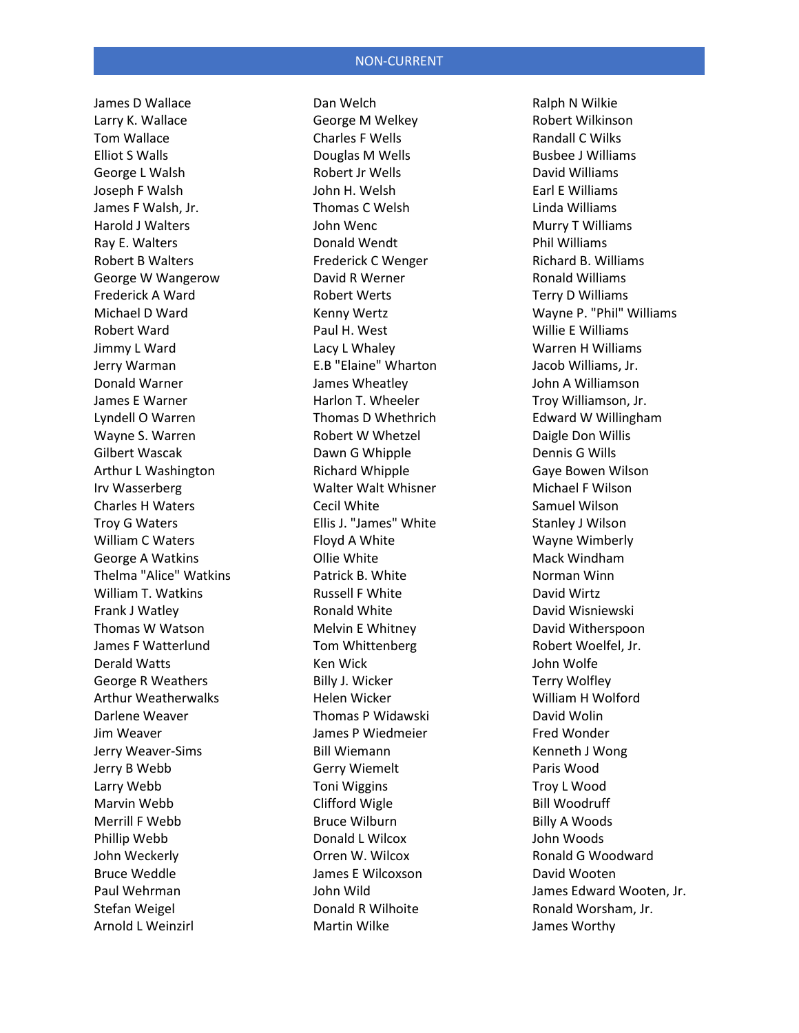James D Wallace Larry K. Wallace Tom Wallace Elliot S Walls George L Walsh Joseph F Walsh James F Walsh, Jr. Harold J Walters Ray E. Walters Robert B Walters George W Wangerow Frederick A Ward Michael D Ward Robert Ward Jimmy L Ward Jerry Warman Donald Warner James E Warner Lyndell O Warren Wayne S. Warren Gilbert Wascak Arthur L Washington Irv Wasserberg Charles H Waters Troy G Waters William C Waters George A Watkins Thelma "Alice" Watkins William T. Watkins Frank J Watley Thomas W Watson James F Watterlund Derald Watts George R Weathers Arthur Weatherwalks Darlene Weaver Jim Weaver Jerry Weaver-Sims Jerry B Webb Larry Webb Marvin Webb Merrill F Webb Phillip Webb John Weckerly Bruce Weddle Paul Wehrman Stefan Weigel Arnold L Weinzirl

Dan Welch George M Welkey Charles F Wells Douglas M Wells Robert Jr Wells John H. Welsh Thomas C Welsh John Wenc Donald Wendt Frederick C Wenger David R Werner Robert Werts Kenny Wertz Paul H. West Lacy L Whaley E.B "Elaine" Wharton James Wheatley Harlon T. Wheeler Thomas D Whethrich Robert W Whetzel Dawn G Whipple Richard Whipple Walter Walt Whisner Cecil White Ellis J. "James" White Floyd A White Ollie White Patrick B. White Russell F White Ronald White Melvin E Whitney Tom Whittenberg Ken Wick Billy J. Wicker Helen Wicker Thomas P Widawski James P Wiedmeier Bill Wiemann Gerry Wiemelt Toni Wiggins Clifford Wigle Bruce Wilburn Donald L Wilcox Orren W. Wilcox James E Wilcoxson John Wild Donald R Wilhoite Martin Wilke

Ralph N Wilkie Robert Wilkinson Randall C Wilks Busbee J Williams David Williams Earl E Williams Linda Williams Murry T Williams Phil Williams Richard B. Williams Ronald Williams Terry D Williams Wayne P. "Phil" Williams Willie E Williams Warren H Williams Jacob Williams, Jr. John A Williamson Troy Williamson, Jr. Edward W Willingham Daigle Don Willis Dennis G Wills Gaye Bowen Wilson Michael F Wilson Samuel Wilson Stanley J Wilson Wayne Wimberly Mack Windham Norman Winn David Wirtz David Wisniewski David Witherspoon Robert Woelfel, Jr. John Wolfe Terry Wolfley William H Wolford David Wolin Fred Wonder Kenneth J Wong Paris Wood Troy L Wood Bill Woodruff Billy A Woods John Woods Ronald G Woodward David Wooten James Edward Wooten, Jr. Ronald Worsham, Jr. James Worthy